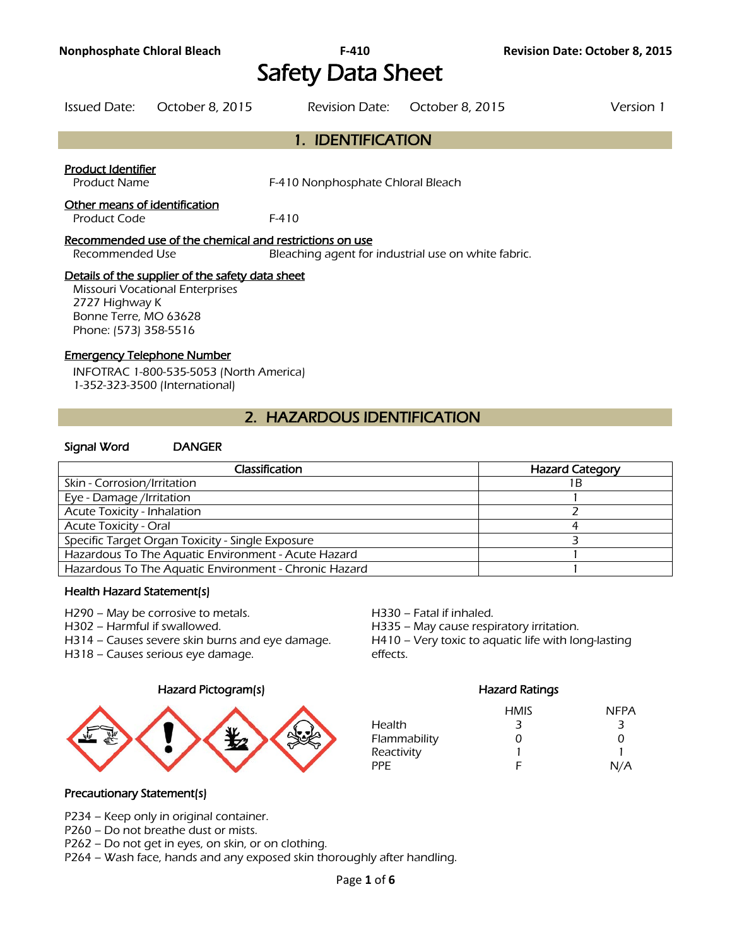# Safety Data Sheet

| Issued Date: October 8, 2015 | Revision Date: October 8, 2015 | Version 1 |
|------------------------------|--------------------------------|-----------|
|                              |                                |           |

# 1. IDENTIFICATION

#### Product Identifier

Product Name F-410 Nonphosphate Chloral Bleach

#### Other means of identification

Product Code F-410

#### Recommended use of the chemical and restrictions on use

Recommended Use Bleaching agent for industrial use on white fabric.

#### Details of the supplier of the safety data sheet

Missouri Vocational Enterprises 2727 Highway K Bonne Terre, MO 63628 Phone: (573) 358-5516

#### Emergency Telephone Number

INFOTRAC 1-800-535-5053 (North America) 1-352-323-3500 (International)

# 2. HAZARDOUS IDENTIFICATION

#### Signal Word DANGER

| Classification                                        | <b>Hazard Category</b> |
|-------------------------------------------------------|------------------------|
| Skin - Corrosion/Irritation                           | 1 B                    |
| Eye - Damage /Irritation                              |                        |
| Acute Toxicity - Inhalation                           |                        |
| <b>Acute Toxicity - Oral</b>                          |                        |
| Specific Target Organ Toxicity - Single Exposure      |                        |
| Hazardous To The Aquatic Environment - Acute Hazard   |                        |
| Hazardous To The Aquatic Environment - Chronic Hazard |                        |
|                                                       |                        |

#### Health Hazard Statement(s)

H290 – May be corrosive to metals. H330 – Fatal if inhaled.

H302 – Harmful if swallowed. H335 – May cause respiratory irritation.

H314 – Causes severe skin burns and eye damage. H410 – Very toxic to aquatic life with long-lasting

H318 – Causes serious eye damage. The same seriests of the effects.

#### Hazard Pictogram(s) Hazard Ratings



|              | <b>HMIS</b> | <b>NFPA</b>   |
|--------------|-------------|---------------|
| Health       | 3           | 3             |
| Flammability | O           | $\mathcal{L}$ |
| Reactivity   |             |               |
| PPF.         | F           | N/A           |

#### Precautionary Statement(s)

P234 – Keep only in original container.

P260 – Do not breathe dust or mists.

P262 – Do not get in eyes, on skin, or on clothing.

P264 – Wash face, hands and any exposed skin thoroughly after handling.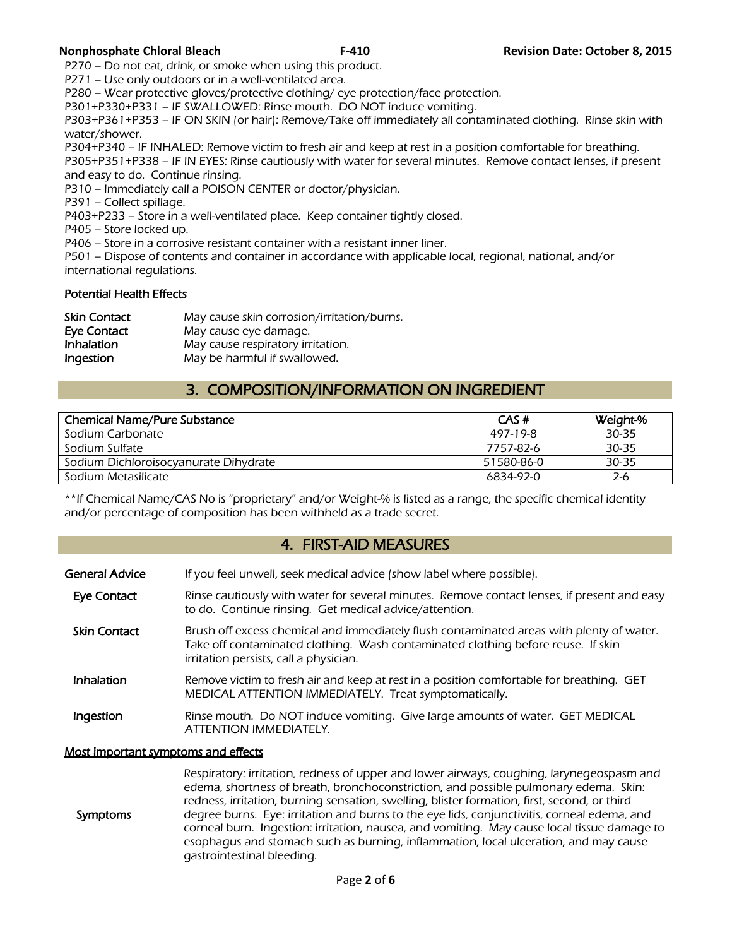P270 – Do not eat, drink, or smoke when using this product.

P271 – Use only outdoors or in a well-ventilated area.

P280 – Wear protective gloves/protective clothing/ eye protection/face protection.

P301+P330+P331 – IF SWALLOWED: Rinse mouth. DO NOT induce vomiting.

P303+P361+P353 – IF ON SKIN (or hair): Remove/Take off immediately all contaminated clothing. Rinse skin with water/shower.

P304+P340 – IF INHALED: Remove victim to fresh air and keep at rest in a position comfortable for breathing.

P305+P351+P338 – IF IN EYES: Rinse cautiously with water for several minutes. Remove contact lenses, if present and easy to do. Continue rinsing.

P310 – Immediately call a POISON CENTER or doctor/physician.

P391 – Collect spillage.

P403+P233 – Store in a well-ventilated place. Keep container tightly closed.

P405 – Store locked up.

P406 – Store in a corrosive resistant container with a resistant inner liner.

P501 – Dispose of contents and container in accordance with applicable local, regional, national, and/or international regulations.

#### Potential Health Effects

| <b>Skin Contact</b> | May cause skin corrosion/irritation/burns. |
|---------------------|--------------------------------------------|
| Eye Contact         | May cause eye damage.                      |
| Inhalation          | May cause respiratory irritation.          |
| Ingestion           | May be harmful if swallowed.               |

# 3. COMPOSITION/INFORMATION ON INGREDIENT

| <b>Chemical Name/Pure Substance</b>   | CAS#       | Weight-% |
|---------------------------------------|------------|----------|
| Sodium Carbonate                      | 497-19-8   | 30-35    |
| Sodium Sulfate                        | 7757-82-6  | 30-35    |
| Sodium Dichloroisocyanurate Dihydrate | 51580-86-0 | 30-35    |
| Sodium Metasilicate                   | 6834-92-0  | 2-6      |
|                                       |            |          |

\*\*If Chemical Name/CAS No is "proprietary" and/or Weight-% is listed as a range, the specific chemical identity and/or percentage of composition has been withheld as a trade secret.

# 4. FIRST-AID MEASURES

| General Advice | If you feel unwell, seek medical advice (show label where possible). |
|----------------|----------------------------------------------------------------------|
|                |                                                                      |

- Eye Contact Rinse cautiously with water for several minutes. Remove contact lenses, if present and easy to do. Continue rinsing. Get medical advice/attention.
- Skin Contact Brush off excess chemical and immediately flush contaminated areas with plenty of water. Take off contaminated clothing. Wash contaminated clothing before reuse. If skin irritation persists, call a physician.
- Inhalation Remove victim to fresh air and keep at rest in a position comfortable for breathing. GET MEDICAL ATTENTION IMMEDIATELY. Treat symptomatically.
- Ingestion Rinse mouth. Do NOT induce vomiting. Give large amounts of water. GET MEDICAL ATTENTION IMMEDIATELY.

#### Most important symptoms and effects

 Symptoms Respiratory: irritation, redness of upper and lower airways, coughing, larynegeospasm and edema, shortness of breath, bronchoconstriction, and possible pulmonary edema. Skin: redness, irritation, burning sensation, swelling, blister formation, first, second, or third degree burns. Eye: irritation and burns to the eye lids, conjunctivitis, corneal edema, and corneal burn. Ingestion: irritation, nausea, and vomiting. May cause local tissue damage to esophagus and stomach such as burning, inflammation, local ulceration, and may cause gastrointestinal bleeding.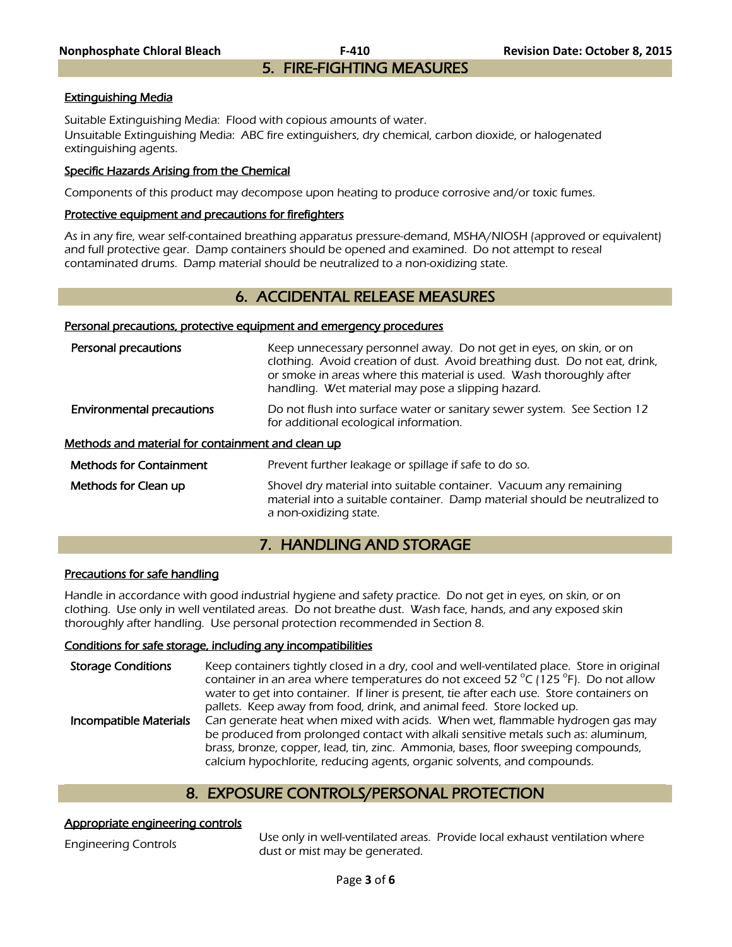**Nonphosphate Chloral Bleach F-410 Revision Date: October 8, 2015**  5. FIRE-FIGHTING MEASURES

#### Extinguishing Media

Suitable Extinguishing Media: Flood with copious amounts of water. Unsuitable Extinguishing Media: ABC fire extinguishers, dry chemical, carbon dioxide, or halogenated extinguishing agents.

#### Specific Hazards Arising from the Chemical

Components of this product may decompose upon heating to produce corrosive and/or toxic fumes.

#### Protective equipment and precautions for firefighters

As in any fire, wear self-contained breathing apparatus pressure-demand, MSHA/NIOSH (approved or equivalent) and full protective gear. Damp containers should be opened and examined. Do not attempt to reseal contaminated drums. Damp material should be neutralized to a non-oxidizing state.

### 6. ACCIDENTAL RELEASE MEASURES

#### Personal precautions, protective equipment and emergency procedures

| Personal precautions                              | Keep unnecessary personnel away. Do not get in eyes, on skin, or on<br>clothing. Avoid creation of dust. Avoid breathing dust. Do not eat, drink,<br>or smoke in areas where this material is used. Wash thoroughly after<br>handling. Wet material may pose a slipping hazard. |
|---------------------------------------------------|---------------------------------------------------------------------------------------------------------------------------------------------------------------------------------------------------------------------------------------------------------------------------------|
| <b>Environmental precautions</b>                  | Do not flush into surface water or sanitary sewer system. See Section 12<br>for additional ecological information.                                                                                                                                                              |
| Methods and material for containment and clean up |                                                                                                                                                                                                                                                                                 |
| <b>Methods for Containment</b>                    | Prevent further leakage or spillage if safe to do so.                                                                                                                                                                                                                           |
| Methods for Clean up                              | Shovel dry material into suitable container. Vacuum any remaining<br>material into a suitable container. Damp material should be neutralized to                                                                                                                                 |

# 7. HANDLING AND STORAGE

#### Precautions for safe handling

Handle in accordance with good industrial hygiene and safety practice. Do not get in eyes, on skin, or on clothing. Use only in well ventilated areas. Do not breathe dust. Wash face, hands, and any exposed skin thoroughly after handling. Use personal protection recommended in Section 8.

a non-oxidizing state.

#### Conditions for safe storage, including any incompatibilities

Storage Conditions Keep containers tightly closed in a dry, cool and well-ventilated place. Store in original container in an area where temperatures do not exceed 52  $^{\circ}$ C (125  $^{\circ}$ F). Do not allow water to get into container. If liner is present, tie after each use. Store containers on pallets. Keep away from food, drink, and animal feed. Store locked up. Incompatible Materials Can generate heat when mixed with acids. When wet, flammable hydrogen gas may be produced from prolonged contact with alkali sensitive metals such as: aluminum, brass, bronze, copper, lead, tin, zinc. Ammonia, bases, floor sweeping compounds, calcium hypochlorite, reducing agents, organic solvents, and compounds.

# 8. EXPOSURE CONTROLS/PERSONAL PROTECTION

#### Appropriate engineering controls

Engineering Controls Use only in well-ventilated areas. Provide local exhaust ventilation where dust or mist may be generated.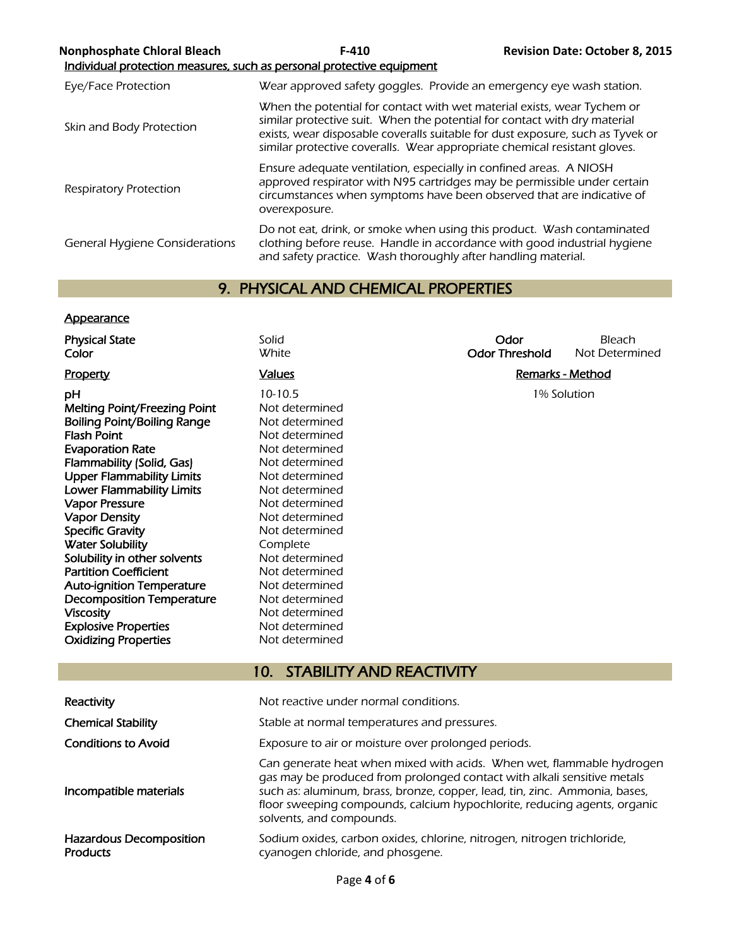| <b>Nonphosphate Chloral Bleach</b>    | $F-410$<br>Individual protection measures, such as personal protective equipment                                                                                                                                                         | <b>Revision Date: October 8, 2015</b>                                          |
|---------------------------------------|------------------------------------------------------------------------------------------------------------------------------------------------------------------------------------------------------------------------------------------|--------------------------------------------------------------------------------|
| Eye/Face Protection                   | Wear approved safety goggles. Provide an emergency eye wash station.                                                                                                                                                                     |                                                                                |
| Skin and Body Protection              | When the potential for contact with wet material exists, wear Tychem or<br>similar protective suit. When the potential for contact with dry material<br>similar protective coveralls. Wear appropriate chemical resistant gloves.        | exists, wear disposable coveralls suitable for dust exposure, such as Tyvek or |
| Respiratory Protection                | Ensure adequate ventilation, especially in confined areas. A NIOSH<br>approved respirator with N95 cartridges may be permissible under certain<br>circumstances when symptoms have been observed that are indicative of<br>overexposure. |                                                                                |
| <b>General Hygiene Considerations</b> | Do not eat, drink, or smoke when using this product. Wash contaminated<br>clothing before reuse. Handle in accordance with good industrial hygiene<br>and safety practice. Wash thoroughly after handling material.                      |                                                                                |

# 9. PHYSICAL AND CHEMICAL PROPERTIES

### **Appearance**

| <b>Physical State</b><br>Color      | Solid<br>White                                                                                                                                                                                                                                                                                                                         | Odor<br><b>Odor Threshold</b> | Bleach<br>Not Determined |
|-------------------------------------|----------------------------------------------------------------------------------------------------------------------------------------------------------------------------------------------------------------------------------------------------------------------------------------------------------------------------------------|-------------------------------|--------------------------|
| Property                            | <b>Values</b>                                                                                                                                                                                                                                                                                                                          |                               | <b>Remarks - Method</b>  |
|                                     |                                                                                                                                                                                                                                                                                                                                        |                               |                          |
| рH                                  | $10-10.5$                                                                                                                                                                                                                                                                                                                              |                               | 1% Solution              |
| <b>Melting Point/Freezing Point</b> | Not determined                                                                                                                                                                                                                                                                                                                         |                               |                          |
| <b>Boiling Point/Boiling Range</b>  | Not determined                                                                                                                                                                                                                                                                                                                         |                               |                          |
| <b>Flash Point</b>                  | Not determined                                                                                                                                                                                                                                                                                                                         |                               |                          |
| <b>Evaporation Rate</b>             | Not determined                                                                                                                                                                                                                                                                                                                         |                               |                          |
| Flammability (Solid, Gas)           | Not determined                                                                                                                                                                                                                                                                                                                         |                               |                          |
| <b>Upper Flammability Limits</b>    | Not determined                                                                                                                                                                                                                                                                                                                         |                               |                          |
| <b>Lower Flammability Limits</b>    | Not determined                                                                                                                                                                                                                                                                                                                         |                               |                          |
| <b>Vapor Pressure</b>               | Not determined                                                                                                                                                                                                                                                                                                                         |                               |                          |
| <b>Vapor Density</b>                | Not determined                                                                                                                                                                                                                                                                                                                         |                               |                          |
| <b>Specific Gravity</b>             | Not determined                                                                                                                                                                                                                                                                                                                         |                               |                          |
| <b>Water Solubility</b>             | Complete                                                                                                                                                                                                                                                                                                                               |                               |                          |
| Solubility in other solvents        | Not determined                                                                                                                                                                                                                                                                                                                         |                               |                          |
| <b>Partition Coefficient</b>        | Not determined                                                                                                                                                                                                                                                                                                                         |                               |                          |
| <b>Auto-ignition Temperature</b>    | Not determined                                                                                                                                                                                                                                                                                                                         |                               |                          |
| <b>Decomposition Temperature</b>    | Not determined                                                                                                                                                                                                                                                                                                                         |                               |                          |
| <b>Viscosity</b>                    | Not determined                                                                                                                                                                                                                                                                                                                         |                               |                          |
| <b>Explosive Properties</b>         | Not determined                                                                                                                                                                                                                                                                                                                         |                               |                          |
| <b>Oxidizing Properties</b>         | Not determined                                                                                                                                                                                                                                                                                                                         |                               |                          |
|                                     |                                                                                                                                                                                                                                                                                                                                        |                               |                          |
|                                     | <b>STABILITY AND REACTIVITY</b><br>10 <sub>1</sub>                                                                                                                                                                                                                                                                                     |                               |                          |
|                                     |                                                                                                                                                                                                                                                                                                                                        |                               |                          |
| Reactivity                          | Not reactive under normal conditions.                                                                                                                                                                                                                                                                                                  |                               |                          |
| <b>Chemical Stability</b>           | Stable at normal temperatures and pressures.                                                                                                                                                                                                                                                                                           |                               |                          |
| <b>Conditions to Avoid</b>          | Exposure to air or moisture over prolonged periods.                                                                                                                                                                                                                                                                                    |                               |                          |
| Incompatible materials              | Can generate heat when mixed with acids. When wet, flammable hydrogen<br>gas may be produced from prolonged contact with alkali sensitive metals<br>such as: aluminum, brass, bronze, copper, lead, tin, zinc. Ammonia, bases,<br>floor sweeping compounds, calcium hypochlorite, reducing agents, organic<br>solvents, and compounds. |                               |                          |
| Hazardous Decomposition             | Sodium oxides, carbon oxides, chlorine, nitrogen, nitrogen trichloride                                                                                                                                                                                                                                                                 |                               |                          |

Sodium oxides, carbon oxides, chlorine, nitrogen, nitrogen trichloride, cyanogen chloride, and phosgene.

Hazardous Decomposition **Products**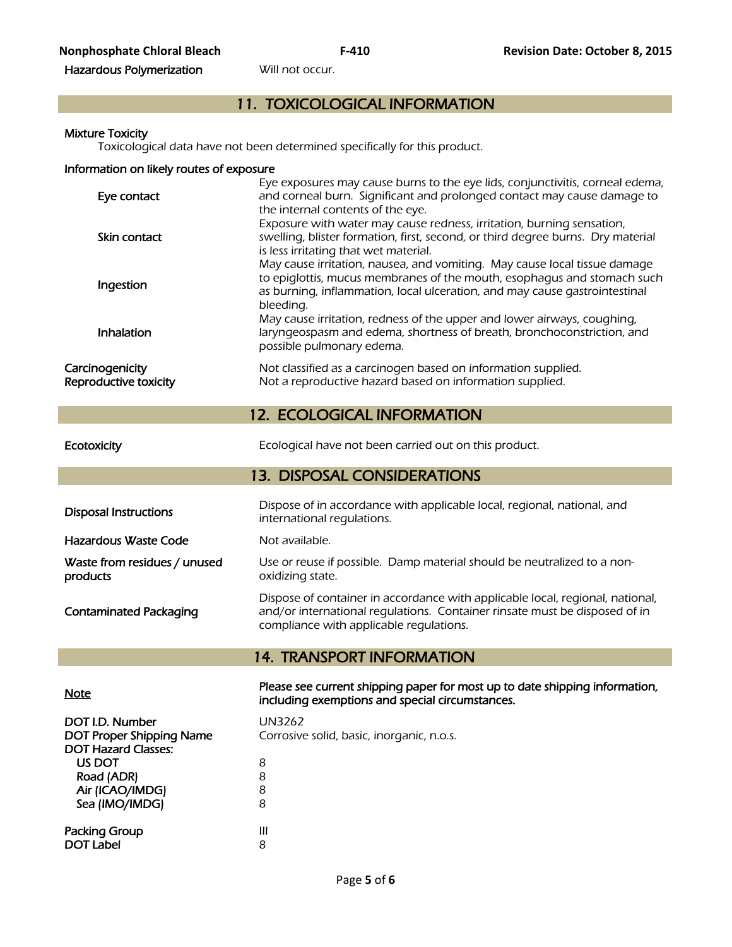# 11. TOXICOLOGICAL INFORMATION

#### Mixture Toxicity

Toxicological data have not been determined specifically for this product.

#### Information on likely routes of exposure

| Eye contact                              | Eye exposures may cause burns to the eye lids, conjunctivitis, corneal edema,<br>and corneal burn. Significant and prolonged contact may cause damage to<br>the internal contents of the eye.                                                   |
|------------------------------------------|-------------------------------------------------------------------------------------------------------------------------------------------------------------------------------------------------------------------------------------------------|
| Skin contact                             | Exposure with water may cause redness, irritation, burning sensation,<br>swelling, blister formation, first, second, or third degree burns. Dry material<br>is less irritating that wet material.                                               |
| Ingestion                                | May cause irritation, nausea, and vomiting. May cause local tissue damage<br>to epiglottis, mucus membranes of the mouth, esophagus and stomach such<br>as burning, inflammation, local ulceration, and may cause gastrointestinal<br>bleeding. |
| Inhalation                               | May cause irritation, redness of the upper and lower airways, coughing,<br>laryngeospasm and edema, shortness of breath, bronchoconstriction, and<br>possible pulmonary edema.                                                                  |
| Carcinogenicity<br>Reproductive toxicity | Not classified as a carcinogen based on information supplied.<br>Not a reproductive hazard based on information supplied.                                                                                                                       |

# 12. ECOLOGICAL INFORMATION

Sea (IMO/IMDG)

Air (ICAO/IMDG) 8<br>Sea (IMO/IMDG) 8

Packing Group **III** DOT Label 8

Ecotoxicity **Exercise 20 Ecological have not been carried out on this product.** 

# 13. DISPOSAL CONSIDERATIONS

| <b>Disposal Instructions</b>             | Dispose of in accordance with applicable local, regional, national, and<br>international regulations.                                                                                                  |
|------------------------------------------|--------------------------------------------------------------------------------------------------------------------------------------------------------------------------------------------------------|
| Hazardous Waste Code                     | Not available.                                                                                                                                                                                         |
| Waste from residues / unused<br>products | Use or reuse if possible. Damp material should be neutralized to a non-<br>oxidizing state.                                                                                                            |
| <b>Contaminated Packaging</b>            | Dispose of container in accordance with applicable local, regional, national,<br>and/or international regulations. Container rinsate must be disposed of in<br>compliance with applicable regulations. |

# 14. TRANSPORT INFORMATION

| <b>Note</b>                | Please see current shipping paper for most up to date shipping information,<br>including exemptions and special circumstances. |
|----------------------------|--------------------------------------------------------------------------------------------------------------------------------|
| DOT I.D. Number            | UN3262                                                                                                                         |
| DOT Proper Shipping Name   | Corrosive solid, basic, inorganic, n.o.s.                                                                                      |
| <b>DOT Hazard Classes:</b> |                                                                                                                                |
| US DOT                     | 8                                                                                                                              |
| Road (ADR)                 | 8                                                                                                                              |
| Air (ICAO/IMDG)            |                                                                                                                                |

Page **5** of **6**